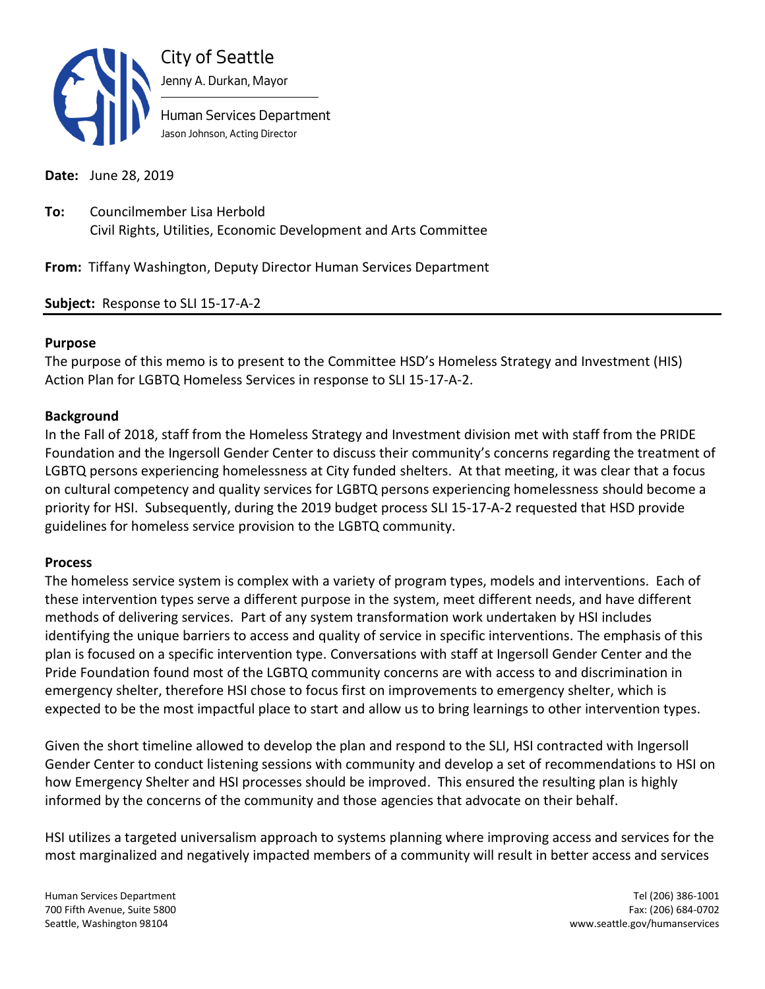

**Date:** June 28, 2019

**To:** Councilmember Lisa Herbold Civil Rights, Utilities, Economic Development and Arts Committee

**From:** Tiffany Washington, Deputy Director Human Services Department

**Subject:** Response to SLI 15-17-A-2

### **Purpose**

The purpose of this memo is to present to the Committee HSD's Homeless Strategy and Investment (HIS) Action Plan for LGBTQ Homeless Services in response to SLI 15-17-A-2.

### **Background**

In the Fall of 2018, staff from the Homeless Strategy and Investment division met with staff from the PRIDE Foundation and the Ingersoll Gender Center to discuss their community's concerns regarding the treatment of LGBTQ persons experiencing homelessness at City funded shelters. At that meeting, it was clear that a focus on cultural competency and quality services for LGBTQ persons experiencing homelessness should become a priority for HSI. Subsequently, during the 2019 budget process SLI 15-17-A-2 requested that HSD provide guidelines for homeless service provision to the LGBTQ community.

### **Process**

The homeless service system is complex with a variety of program types, models and interventions. Each of these intervention types serve a different purpose in the system, meet different needs, and have different methods of delivering services. Part of any system transformation work undertaken by HSI includes identifying the unique barriers to access and quality of service in specific interventions. The emphasis of this plan is focused on a specific intervention type. Conversations with staff at Ingersoll Gender Center and the Pride Foundation found most of the LGBTQ community concerns are with access to and discrimination in emergency shelter, therefore HSI chose to focus first on improvements to emergency shelter, which is expected to be the most impactful place to start and allow us to bring learnings to other intervention types.

Given the short timeline allowed to develop the plan and respond to the SLI, HSI contracted with Ingersoll Gender Center to conduct listening sessions with community and develop a set of recommendations to HSI on how Emergency Shelter and HSI processes should be improved. This ensured the resulting plan is highly informed by the concerns of the community and those agencies that advocate on their behalf.

HSI utilizes a targeted universalism approach to systems planning where improving access and services for the most marginalized and negatively impacted members of a community will result in better access and services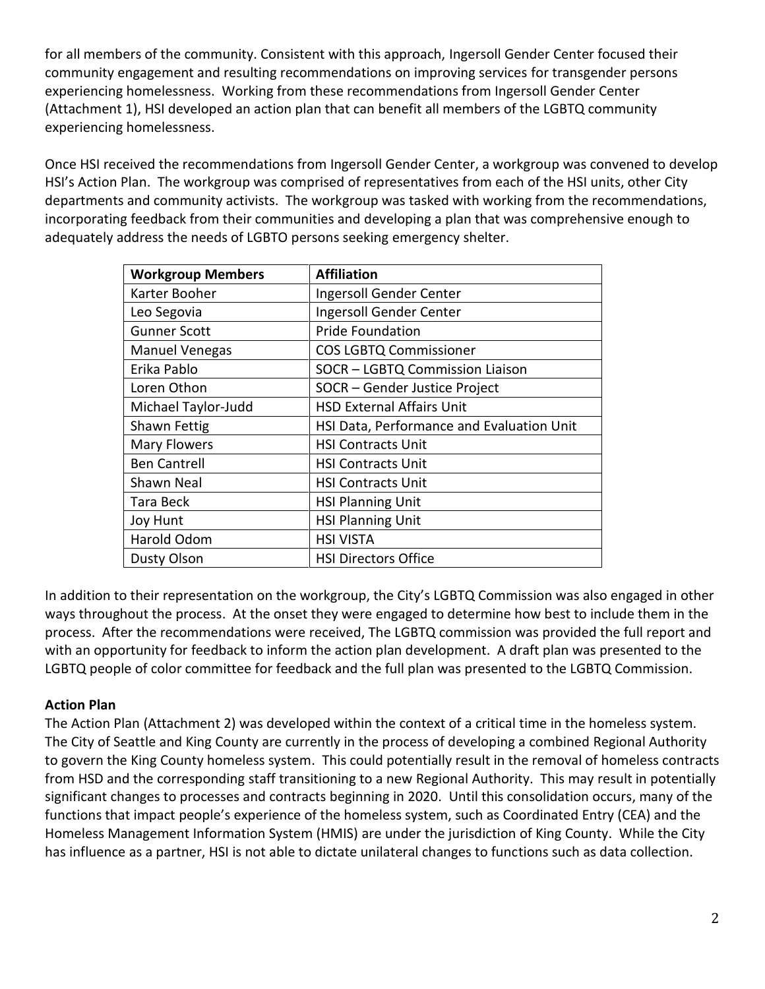for all members of the community. Consistent with this approach, Ingersoll Gender Center focused their community engagement and resulting recommendations on improving services for transgender persons experiencing homelessness. Working from these recommendations from Ingersoll Gender Center (Attachment 1), HSI developed an action plan that can benefit all members of the LGBTQ community experiencing homelessness.

Once HSI received the recommendations from Ingersoll Gender Center, a workgroup was convened to develop HSI's Action Plan. The workgroup was comprised of representatives from each of the HSI units, other City departments and community activists. The workgroup was tasked with working from the recommendations, incorporating feedback from their communities and developing a plan that was comprehensive enough to adequately address the needs of LGBTO persons seeking emergency shelter.

| <b>Workgroup Members</b> | <b>Affiliation</b>                        |
|--------------------------|-------------------------------------------|
| Karter Booher            | Ingersoll Gender Center                   |
| Leo Segovia              | Ingersoll Gender Center                   |
| <b>Gunner Scott</b>      | <b>Pride Foundation</b>                   |
| <b>Manuel Venegas</b>    | <b>COS LGBTQ Commissioner</b>             |
| Erika Pablo              | SOCR - LGBTQ Commission Liaison           |
| Loren Othon              | SOCR - Gender Justice Project             |
| Michael Taylor-Judd      | <b>HSD External Affairs Unit</b>          |
| Shawn Fettig             | HSI Data, Performance and Evaluation Unit |
| <b>Mary Flowers</b>      | <b>HSI Contracts Unit</b>                 |
| <b>Ben Cantrell</b>      | <b>HSI Contracts Unit</b>                 |
| Shawn Neal               | <b>HSI Contracts Unit</b>                 |
| Tara Beck                | <b>HSI Planning Unit</b>                  |
| Joy Hunt                 | <b>HSI Planning Unit</b>                  |
| Harold Odom              | <b>HSI VISTA</b>                          |
| <b>Dusty Olson</b>       | <b>HSI Directors Office</b>               |

In addition to their representation on the workgroup, the City's LGBTQ Commission was also engaged in other ways throughout the process. At the onset they were engaged to determine how best to include them in the process. After the recommendations were received, The LGBTQ commission was provided the full report and with an opportunity for feedback to inform the action plan development. A draft plan was presented to the LGBTQ people of color committee for feedback and the full plan was presented to the LGBTQ Commission.

# **Action Plan**

The Action Plan (Attachment 2) was developed within the context of a critical time in the homeless system. The City of Seattle and King County are currently in the process of developing a combined Regional Authority to govern the King County homeless system. This could potentially result in the removal of homeless contracts from HSD and the corresponding staff transitioning to a new Regional Authority. This may result in potentially significant changes to processes and contracts beginning in 2020. Until this consolidation occurs, many of the functions that impact people's experience of the homeless system, such as Coordinated Entry (CEA) and the Homeless Management Information System (HMIS) are under the jurisdiction of King County. While the City has influence as a partner, HSI is not able to dictate unilateral changes to functions such as data collection.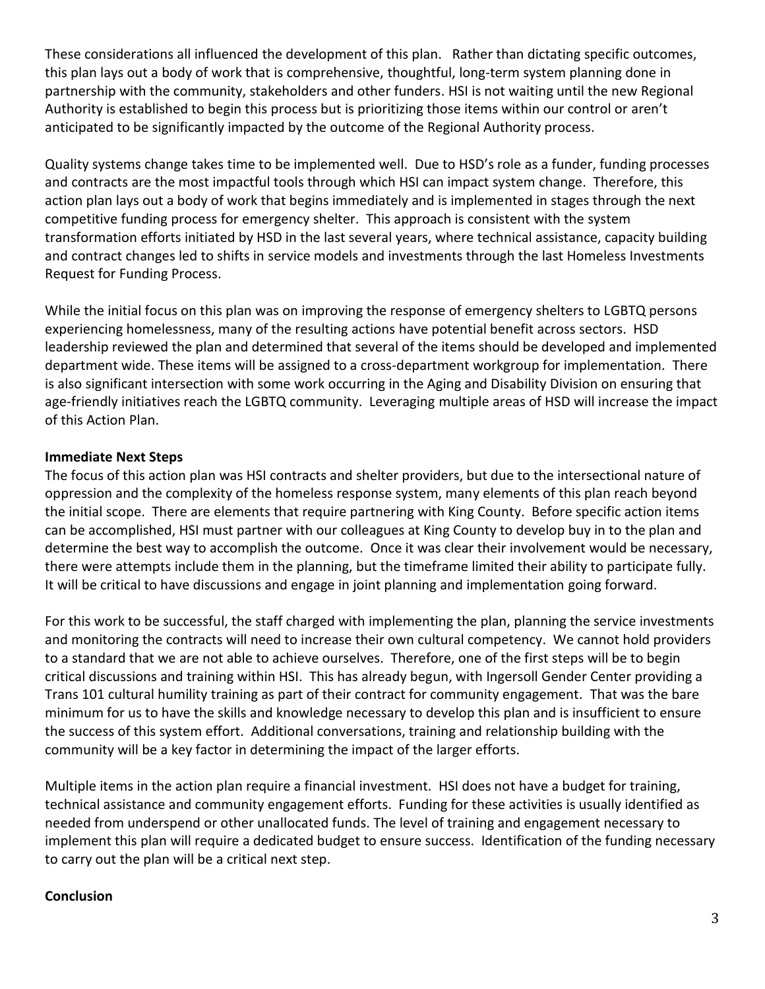These considerations all influenced the development of this plan. Rather than dictating specific outcomes, this plan lays out a body of work that is comprehensive, thoughtful, long-term system planning done in partnership with the community, stakeholders and other funders. HSI is not waiting until the new Regional Authority is established to begin this process but is prioritizing those items within our control or aren't anticipated to be significantly impacted by the outcome of the Regional Authority process.

Quality systems change takes time to be implemented well. Due to HSD's role as a funder, funding processes and contracts are the most impactful tools through which HSI can impact system change. Therefore, this action plan lays out a body of work that begins immediately and is implemented in stages through the next competitive funding process for emergency shelter. This approach is consistent with the system transformation efforts initiated by HSD in the last several years, where technical assistance, capacity building and contract changes led to shifts in service models and investments through the last Homeless Investments Request for Funding Process.

While the initial focus on this plan was on improving the response of emergency shelters to LGBTQ persons experiencing homelessness, many of the resulting actions have potential benefit across sectors. HSD leadership reviewed the plan and determined that several of the items should be developed and implemented department wide. These items will be assigned to a cross-department workgroup for implementation. There is also significant intersection with some work occurring in the Aging and Disability Division on ensuring that age-friendly initiatives reach the LGBTQ community. Leveraging multiple areas of HSD will increase the impact of this Action Plan.

# **Immediate Next Steps**

The focus of this action plan was HSI contracts and shelter providers, but due to the intersectional nature of oppression and the complexity of the homeless response system, many elements of this plan reach beyond the initial scope. There are elements that require partnering with King County. Before specific action items can be accomplished, HSI must partner with our colleagues at King County to develop buy in to the plan and determine the best way to accomplish the outcome. Once it was clear their involvement would be necessary, there were attempts include them in the planning, but the timeframe limited their ability to participate fully. It will be critical to have discussions and engage in joint planning and implementation going forward.

For this work to be successful, the staff charged with implementing the plan, planning the service investments and monitoring the contracts will need to increase their own cultural competency. We cannot hold providers to a standard that we are not able to achieve ourselves. Therefore, one of the first steps will be to begin critical discussions and training within HSI. This has already begun, with Ingersoll Gender Center providing a Trans 101 cultural humility training as part of their contract for community engagement. That was the bare minimum for us to have the skills and knowledge necessary to develop this plan and is insufficient to ensure the success of this system effort. Additional conversations, training and relationship building with the community will be a key factor in determining the impact of the larger efforts.

Multiple items in the action plan require a financial investment. HSI does not have a budget for training, technical assistance and community engagement efforts. Funding for these activities is usually identified as needed from underspend or other unallocated funds. The level of training and engagement necessary to implement this plan will require a dedicated budget to ensure success. Identification of the funding necessary to carry out the plan will be a critical next step.

# **Conclusion**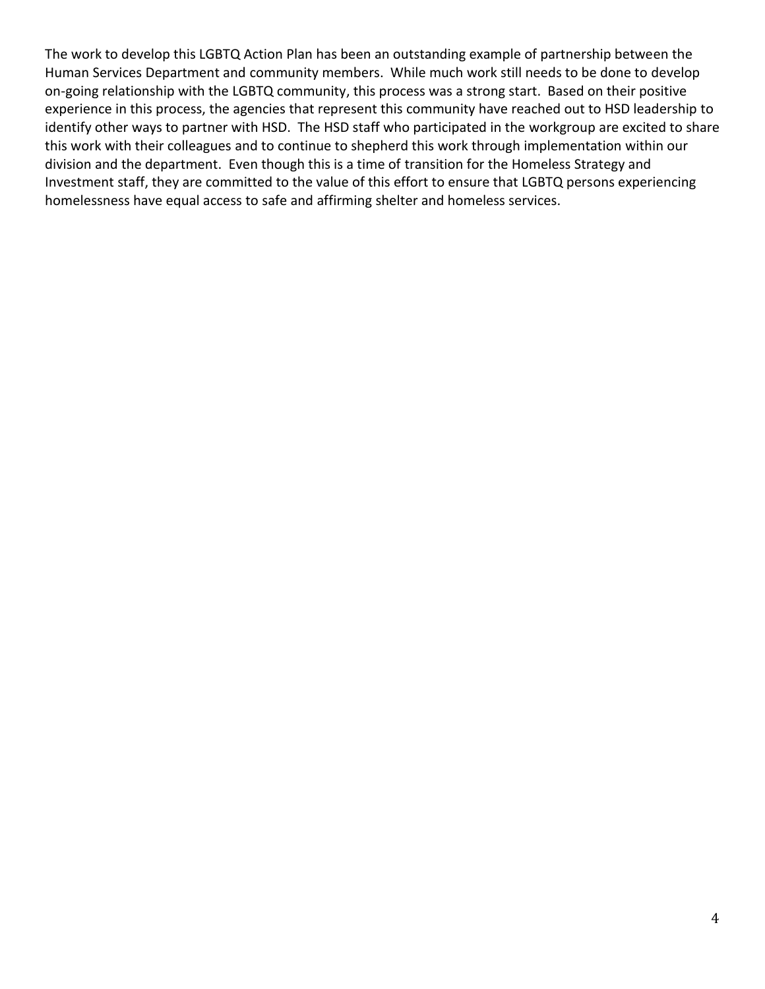The work to develop this LGBTQ Action Plan has been an outstanding example of partnership between the Human Services Department and community members. While much work still needs to be done to develop on-going relationship with the LGBTQ community, this process was a strong start. Based on their positive experience in this process, the agencies that represent this community have reached out to HSD leadership to identify other ways to partner with HSD. The HSD staff who participated in the workgroup are excited to share this work with their colleagues and to continue to shepherd this work through implementation within our division and the department. Even though this is a time of transition for the Homeless Strategy and Investment staff, they are committed to the value of this effort to ensure that LGBTQ persons experiencing homelessness have equal access to safe and affirming shelter and homeless services.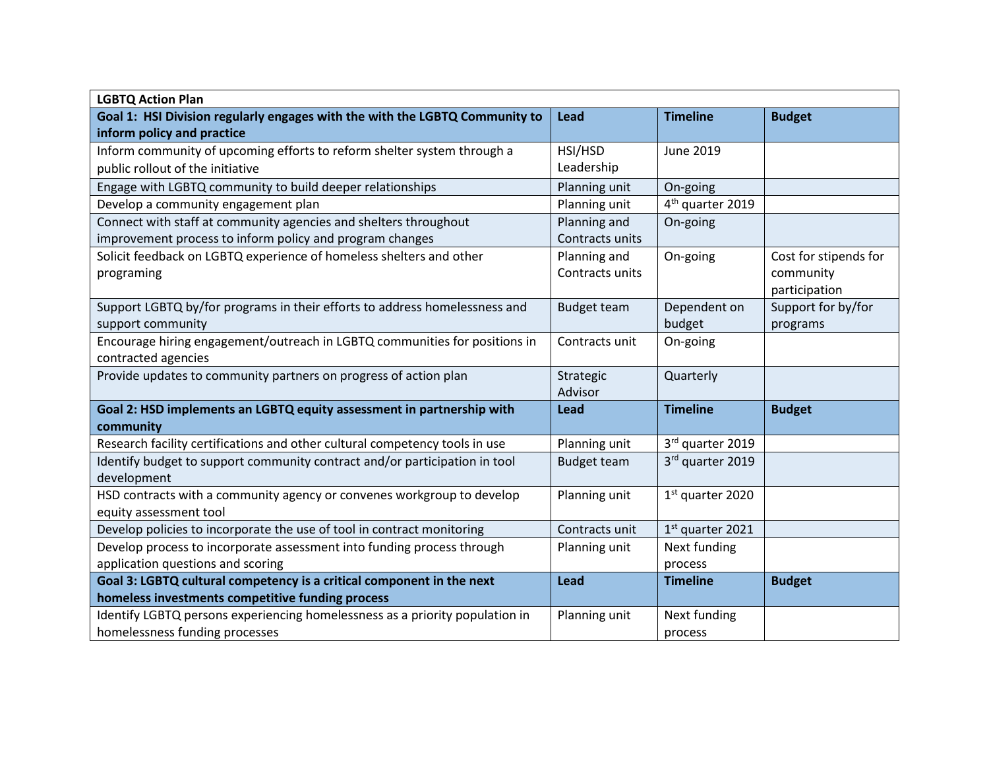| <b>LGBTQ Action Plan</b>                                                     |                    |                              |                       |
|------------------------------------------------------------------------------|--------------------|------------------------------|-----------------------|
| Goal 1: HSI Division regularly engages with the with the LGBTQ Community to  | Lead               | <b>Timeline</b>              | <b>Budget</b>         |
| inform policy and practice                                                   |                    |                              |                       |
| Inform community of upcoming efforts to reform shelter system through a      | HSI/HSD            | June 2019                    |                       |
| public rollout of the initiative                                             | Leadership         |                              |                       |
| Engage with LGBTQ community to build deeper relationships                    | Planning unit      | On-going                     |                       |
| Develop a community engagement plan                                          | Planning unit      | 4 <sup>th</sup> quarter 2019 |                       |
| Connect with staff at community agencies and shelters throughout             | Planning and       | On-going                     |                       |
| improvement process to inform policy and program changes                     | Contracts units    |                              |                       |
| Solicit feedback on LGBTQ experience of homeless shelters and other          | Planning and       | On-going                     | Cost for stipends for |
| programing                                                                   | Contracts units    |                              | community             |
|                                                                              |                    |                              | participation         |
| Support LGBTQ by/for programs in their efforts to address homelessness and   | <b>Budget team</b> | Dependent on                 | Support for by/for    |
| support community                                                            |                    | budget                       | programs              |
| Encourage hiring engagement/outreach in LGBTQ communities for positions in   | Contracts unit     | On-going                     |                       |
| contracted agencies                                                          |                    |                              |                       |
| Provide updates to community partners on progress of action plan             | Strategic          | Quarterly                    |                       |
|                                                                              | Advisor            |                              |                       |
| Goal 2: HSD implements an LGBTQ equity assessment in partnership with        | Lead               | <b>Timeline</b>              | <b>Budget</b>         |
| community                                                                    |                    |                              |                       |
| Research facility certifications and other cultural competency tools in use  | Planning unit      | 3rd quarter 2019             |                       |
| Identify budget to support community contract and/or participation in tool   | <b>Budget team</b> | 3rd quarter 2019             |                       |
| development                                                                  |                    |                              |                       |
| HSD contracts with a community agency or convenes workgroup to develop       | Planning unit      | 1st quarter 2020             |                       |
| equity assessment tool                                                       |                    |                              |                       |
| Develop policies to incorporate the use of tool in contract monitoring       | Contracts unit     | 1st quarter 2021             |                       |
| Develop process to incorporate assessment into funding process through       | Planning unit      | Next funding                 |                       |
| application questions and scoring                                            |                    | process                      |                       |
| Goal 3: LGBTQ cultural competency is a critical component in the next        | Lead               | <b>Timeline</b>              | <b>Budget</b>         |
| homeless investments competitive funding process                             |                    |                              |                       |
| Identify LGBTQ persons experiencing homelessness as a priority population in | Planning unit      | Next funding                 |                       |
| homelessness funding processes                                               |                    | process                      |                       |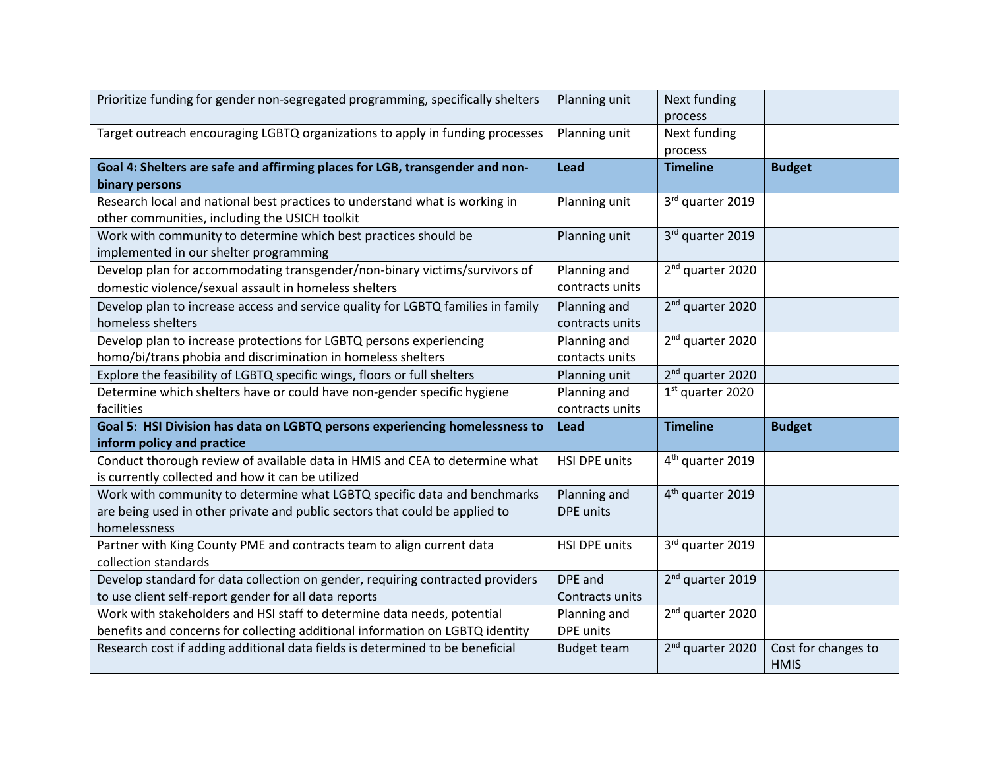| Prioritize funding for gender non-segregated programming, specifically shelters  | Planning unit        | Next funding                 |                                    |
|----------------------------------------------------------------------------------|----------------------|------------------------------|------------------------------------|
|                                                                                  |                      | process                      |                                    |
| Target outreach encouraging LGBTQ organizations to apply in funding processes    | Planning unit        | Next funding                 |                                    |
|                                                                                  |                      | process                      |                                    |
| Goal 4: Shelters are safe and affirming places for LGB, transgender and non-     | <b>Lead</b>          | <b>Timeline</b>              | <b>Budget</b>                      |
| binary persons                                                                   |                      |                              |                                    |
| Research local and national best practices to understand what is working in      | Planning unit        | 3rd quarter 2019             |                                    |
| other communities, including the USICH toolkit                                   |                      |                              |                                    |
| Work with community to determine which best practices should be                  | Planning unit        | 3rd quarter 2019             |                                    |
| implemented in our shelter programming                                           |                      |                              |                                    |
| Develop plan for accommodating transgender/non-binary victims/survivors of       | Planning and         | 2 <sup>nd</sup> quarter 2020 |                                    |
| domestic violence/sexual assault in homeless shelters                            | contracts units      |                              |                                    |
| Develop plan to increase access and service quality for LGBTQ families in family | Planning and         | 2 <sup>nd</sup> quarter 2020 |                                    |
| homeless shelters                                                                | contracts units      |                              |                                    |
| Develop plan to increase protections for LGBTQ persons experiencing              | Planning and         | 2 <sup>nd</sup> quarter 2020 |                                    |
| homo/bi/trans phobia and discrimination in homeless shelters                     | contacts units       |                              |                                    |
| Explore the feasibility of LGBTQ specific wings, floors or full shelters         | Planning unit        | 2 <sup>nd</sup> quarter 2020 |                                    |
| Determine which shelters have or could have non-gender specific hygiene          | Planning and         | $1st$ quarter 2020           |                                    |
| facilities                                                                       | contracts units      |                              |                                    |
| Goal 5: HSI Division has data on LGBTQ persons experiencing homelessness to      | <b>Lead</b>          | <b>Timeline</b>              | <b>Budget</b>                      |
| inform policy and practice                                                       |                      |                              |                                    |
| Conduct thorough review of available data in HMIS and CEA to determine what      | <b>HSI DPE units</b> | 4 <sup>th</sup> quarter 2019 |                                    |
| is currently collected and how it can be utilized                                |                      |                              |                                    |
| Work with community to determine what LGBTQ specific data and benchmarks         | Planning and         | 4 <sup>th</sup> quarter 2019 |                                    |
| are being used in other private and public sectors that could be applied to      | <b>DPE</b> units     |                              |                                    |
| homelessness                                                                     |                      |                              |                                    |
| Partner with King County PME and contracts team to align current data            | <b>HSI DPE units</b> | 3rd quarter 2019             |                                    |
| collection standards                                                             |                      |                              |                                    |
| Develop standard for data collection on gender, requiring contracted providers   | DPE and              | 2 <sup>nd</sup> quarter 2019 |                                    |
| to use client self-report gender for all data reports                            | Contracts units      |                              |                                    |
| Work with stakeholders and HSI staff to determine data needs, potential          | Planning and         | 2 <sup>nd</sup> quarter 2020 |                                    |
| benefits and concerns for collecting additional information on LGBTQ identity    | <b>DPE</b> units     |                              |                                    |
| Research cost if adding additional data fields is determined to be beneficial    | <b>Budget team</b>   | 2 <sup>nd</sup> quarter 2020 | Cost for changes to<br><b>HMIS</b> |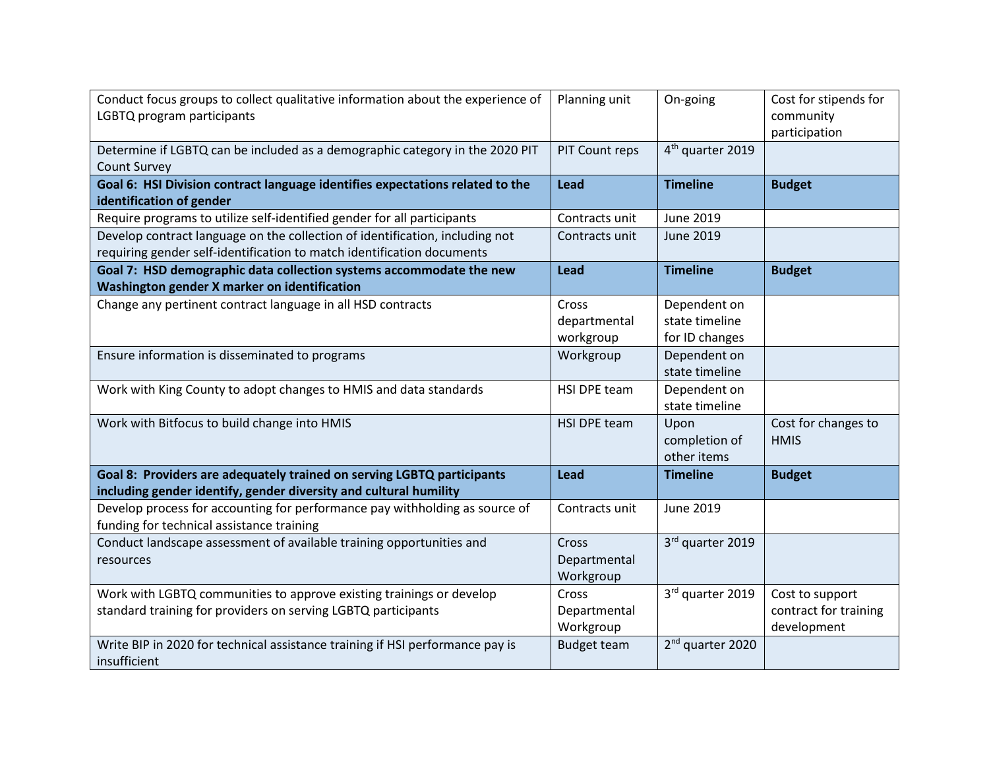| Conduct focus groups to collect qualitative information about the experience of<br>LGBTQ program participants | Planning unit      | On-going                     | Cost for stipends for<br>community<br>participation |
|---------------------------------------------------------------------------------------------------------------|--------------------|------------------------------|-----------------------------------------------------|
| Determine if LGBTQ can be included as a demographic category in the 2020 PIT<br><b>Count Survey</b>           | PIT Count reps     | 4 <sup>th</sup> quarter 2019 |                                                     |
| Goal 6: HSI Division contract language identifies expectations related to the                                 | Lead               | <b>Timeline</b>              | <b>Budget</b>                                       |
| identification of gender<br>Require programs to utilize self-identified gender for all participants           | Contracts unit     | June 2019                    |                                                     |
| Develop contract language on the collection of identification, including not                                  | Contracts unit     | June 2019                    |                                                     |
| requiring gender self-identification to match identification documents                                        |                    |                              |                                                     |
| Goal 7: HSD demographic data collection systems accommodate the new                                           | Lead               | <b>Timeline</b>              | <b>Budget</b>                                       |
| Washington gender X marker on identification                                                                  |                    |                              |                                                     |
| Change any pertinent contract language in all HSD contracts                                                   | Cross              | Dependent on                 |                                                     |
|                                                                                                               | departmental       | state timeline               |                                                     |
|                                                                                                               | workgroup          | for ID changes               |                                                     |
| Ensure information is disseminated to programs                                                                | Workgroup          | Dependent on                 |                                                     |
|                                                                                                               |                    | state timeline               |                                                     |
| Work with King County to adopt changes to HMIS and data standards                                             | HSI DPE team       | Dependent on                 |                                                     |
|                                                                                                               |                    | state timeline               |                                                     |
| Work with Bitfocus to build change into HMIS                                                                  | HSI DPE team       | Upon                         | Cost for changes to                                 |
|                                                                                                               |                    | completion of                | <b>HMIS</b>                                         |
|                                                                                                               |                    | other items                  |                                                     |
| Goal 8: Providers are adequately trained on serving LGBTQ participants                                        | Lead               | <b>Timeline</b>              | <b>Budget</b>                                       |
| including gender identify, gender diversity and cultural humility                                             |                    |                              |                                                     |
| Develop process for accounting for performance pay withholding as source of                                   | Contracts unit     | June 2019                    |                                                     |
| funding for technical assistance training                                                                     |                    |                              |                                                     |
| Conduct landscape assessment of available training opportunities and                                          | Cross              | 3rd quarter 2019             |                                                     |
| resources                                                                                                     | Departmental       |                              |                                                     |
|                                                                                                               | Workgroup          |                              |                                                     |
| Work with LGBTQ communities to approve existing trainings or develop                                          | Cross              | 3rd quarter 2019             | Cost to support                                     |
| standard training for providers on serving LGBTQ participants                                                 | Departmental       |                              | contract for training                               |
|                                                                                                               | Workgroup          |                              | development                                         |
| Write BIP in 2020 for technical assistance training if HSI performance pay is                                 | <b>Budget team</b> | 2 <sup>nd</sup> quarter 2020 |                                                     |
| insufficient                                                                                                  |                    |                              |                                                     |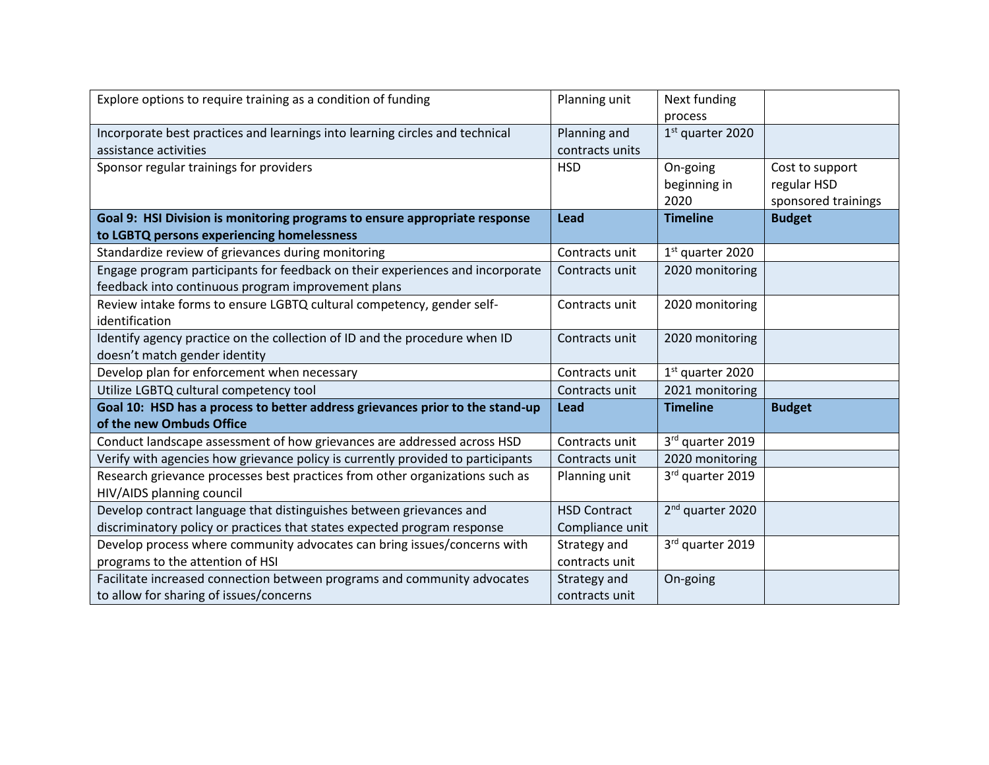| Explore options to require training as a condition of funding                   | Planning unit       | Next funding                 |                     |
|---------------------------------------------------------------------------------|---------------------|------------------------------|---------------------|
|                                                                                 |                     | process                      |                     |
| Incorporate best practices and learnings into learning circles and technical    | Planning and        | $1st$ quarter 2020           |                     |
| assistance activities                                                           | contracts units     |                              |                     |
| Sponsor regular trainings for providers                                         | <b>HSD</b>          | On-going                     | Cost to support     |
|                                                                                 |                     | beginning in                 | regular HSD         |
|                                                                                 |                     | 2020                         | sponsored trainings |
| Goal 9: HSI Division is monitoring programs to ensure appropriate response      | <b>Lead</b>         | <b>Timeline</b>              | <b>Budget</b>       |
| to LGBTQ persons experiencing homelessness                                      |                     |                              |                     |
| Standardize review of grievances during monitoring                              | Contracts unit      | $1st$ quarter 2020           |                     |
| Engage program participants for feedback on their experiences and incorporate   | Contracts unit      | 2020 monitoring              |                     |
| feedback into continuous program improvement plans                              |                     |                              |                     |
| Review intake forms to ensure LGBTQ cultural competency, gender self-           | Contracts unit      | 2020 monitoring              |                     |
| identification                                                                  |                     |                              |                     |
| Identify agency practice on the collection of ID and the procedure when ID      | Contracts unit      | 2020 monitoring              |                     |
| doesn't match gender identity                                                   |                     |                              |                     |
| Develop plan for enforcement when necessary                                     | Contracts unit      | $1st$ quarter 2020           |                     |
| Utilize LGBTQ cultural competency tool                                          | Contracts unit      | 2021 monitoring              |                     |
| Goal 10: HSD has a process to better address grievances prior to the stand-up   | Lead                | <b>Timeline</b>              | <b>Budget</b>       |
| of the new Ombuds Office                                                        |                     |                              |                     |
| Conduct landscape assessment of how grievances are addressed across HSD         | Contracts unit      | 3rd quarter 2019             |                     |
| Verify with agencies how grievance policy is currently provided to participants | Contracts unit      | 2020 monitoring              |                     |
| Research grievance processes best practices from other organizations such as    | Planning unit       | 3rd quarter 2019             |                     |
| HIV/AIDS planning council                                                       |                     |                              |                     |
| Develop contract language that distinguishes between grievances and             | <b>HSD Contract</b> | 2 <sup>nd</sup> quarter 2020 |                     |
| discriminatory policy or practices that states expected program response        | Compliance unit     |                              |                     |
| Develop process where community advocates can bring issues/concerns with        | Strategy and        | 3rd quarter 2019             |                     |
| programs to the attention of HSI                                                | contracts unit      |                              |                     |
| Facilitate increased connection between programs and community advocates        | Strategy and        | On-going                     |                     |
| to allow for sharing of issues/concerns                                         | contracts unit      |                              |                     |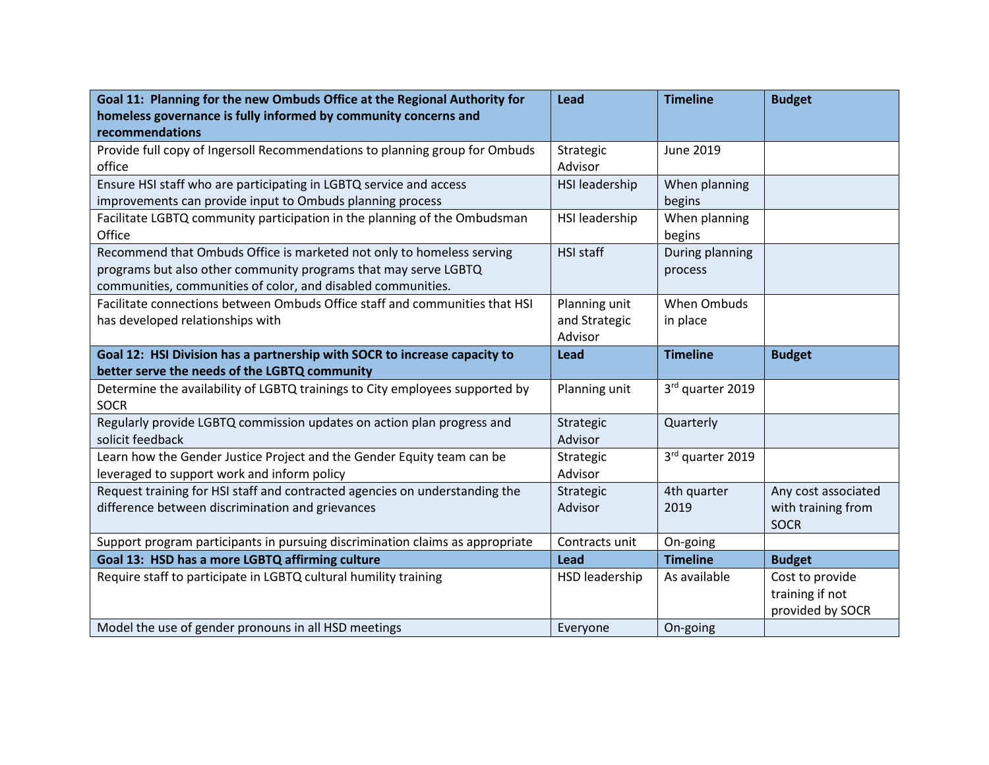| Goal 11: Planning for the new Ombuds Office at the Regional Authority for                   | Lead                  | <b>Timeline</b>  | <b>Budget</b>       |
|---------------------------------------------------------------------------------------------|-----------------------|------------------|---------------------|
| homeless governance is fully informed by community concerns and                             |                       |                  |                     |
| recommendations                                                                             |                       |                  |                     |
| Provide full copy of Ingersoll Recommendations to planning group for Ombuds                 | Strategic             | June 2019        |                     |
| office                                                                                      | Advisor               |                  |                     |
| Ensure HSI staff who are participating in LGBTQ service and access                          | <b>HSI</b> leadership | When planning    |                     |
| improvements can provide input to Ombuds planning process                                   |                       | begins           |                     |
| Facilitate LGBTQ community participation in the planning of the Ombudsman                   | HSI leadership        | When planning    |                     |
| Office                                                                                      |                       | begins           |                     |
| Recommend that Ombuds Office is marketed not only to homeless serving                       | HSI staff             | During planning  |                     |
| programs but also other community programs that may serve LGBTQ                             |                       | process          |                     |
| communities, communities of color, and disabled communities.                                |                       |                  |                     |
| Facilitate connections between Ombuds Office staff and communities that HSI                 | Planning unit         | When Ombuds      |                     |
| has developed relationships with                                                            | and Strategic         | in place         |                     |
|                                                                                             | Advisor               |                  |                     |
| Goal 12: HSI Division has a partnership with SOCR to increase capacity to                   | <b>Lead</b>           | <b>Timeline</b>  | <b>Budget</b>       |
| better serve the needs of the LGBTQ community                                               |                       |                  |                     |
| Determine the availability of LGBTQ trainings to City employees supported by<br><b>SOCR</b> | Planning unit         | 3rd quarter 2019 |                     |
| Regularly provide LGBTQ commission updates on action plan progress and                      | Strategic             | Quarterly        |                     |
| solicit feedback                                                                            | Advisor               |                  |                     |
| Learn how the Gender Justice Project and the Gender Equity team can be                      | Strategic             | 3rd quarter 2019 |                     |
| leveraged to support work and inform policy                                                 | Advisor               |                  |                     |
| Request training for HSI staff and contracted agencies on understanding the                 | Strategic             | 4th quarter      | Any cost associated |
| difference between discrimination and grievances                                            | Advisor               | 2019             | with training from  |
|                                                                                             |                       |                  | <b>SOCR</b>         |
| Support program participants in pursuing discrimination claims as appropriate               | Contracts unit        | On-going         |                     |
| Goal 13: HSD has a more LGBTQ affirming culture                                             | Lead                  | <b>Timeline</b>  | <b>Budget</b>       |
| Require staff to participate in LGBTQ cultural humility training                            | HSD leadership        | As available     | Cost to provide     |
|                                                                                             |                       |                  | training if not     |
|                                                                                             |                       |                  | provided by SOCR    |
| Model the use of gender pronouns in all HSD meetings                                        | Everyone              | On-going         |                     |